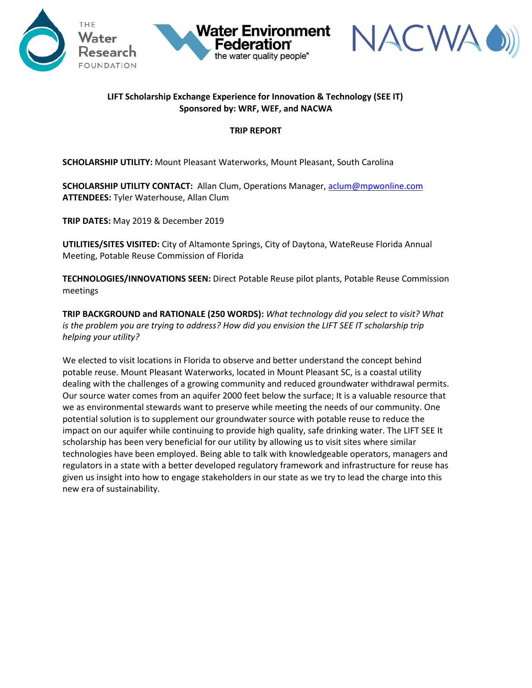



# **LIFT Scholarship Exchange Experience for Innovation & Technology (SEE IT) Sponsored by: WRF, WEF, and NACWA**

**Water Environment** 

the water quality people®

### **TRIP REPORT**

**SCHOLARSHIP UTILITY:** Mount Pleasant Waterworks, Mount Pleasant, South Carolina

**SCHOLARSHIP UTILITY CONTACT:** Allan Clum, Operations Manager, [aclum@mpwonline.com](mailto:aclum@mpwonline.com) **ATTENDEES:** Tyler Waterhouse, Allan Clum

**TRIP DATES:** May 2019 & December 2019

**UTILITIES/SITES VISITED:** City of Altamonte Springs, City of Daytona, WateReuse Florida Annual Meeting, Potable Reuse Commission of Florida

**TECHNOLOGIES/INNOVATIONS SEEN:** Direct Potable Reuse pilot plants, Potable Reuse Commission meetings

**TRIP BACKGROUND and RATIONALE (250 WORDS):** *What technology did you select to visit? What is the problem you are trying to address? How did you envision the LIFT SEE IT scholarship trip helping your utility?* 

We elected to visit locations in Florida to observe and better understand the concept behind potable reuse. Mount Pleasant Waterworks, located in Mount Pleasant SC, is a coastal utility dealing with the challenges of a growing community and reduced groundwater withdrawal permits. Our source water comes from an aquifer 2000 feet below the surface; It is a valuable resource that we as environmental stewards want to preserve while meeting the needs of our community. One potential solution is to supplement our groundwater source with potable reuse to reduce the impact on our aquifer while continuing to provide high quality, safe drinking water. The LIFT SEE It scholarship has been very beneficial for our utility by allowing us to visit sites where similar technologies have been employed. Being able to talk with knowledgeable operators, managers and regulators in a state with a better developed regulatory framework and infrastructure for reuse has given us insight into how to engage stakeholders in our state as we try to lead the charge into this new era of sustainability.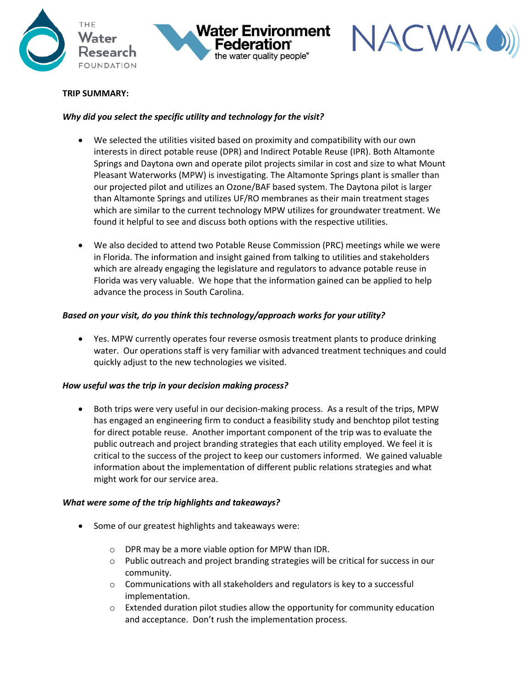





# **TRIP SUMMARY:**

## *Why did you select the specific utility and technology for the visit?*

- We selected the utilities visited based on proximity and compatibility with our own interests in direct potable reuse (DPR) and Indirect Potable Reuse (IPR). Both Altamonte Springs and Daytona own and operate pilot projects similar in cost and size to what Mount Pleasant Waterworks (MPW) is investigating. The Altamonte Springs plant is smaller than our projected pilot and utilizes an Ozone/BAF based system. The Daytona pilot is larger than Altamonte Springs and utilizes UF/RO membranes as their main treatment stages which are similar to the current technology MPW utilizes for groundwater treatment. We found it helpful to see and discuss both options with the respective utilities.
- We also decided to attend two Potable Reuse Commission (PRC) meetings while we were in Florida. The information and insight gained from talking to utilities and stakeholders which are already engaging the legislature and regulators to advance potable reuse in Florida was very valuable. We hope that the information gained can be applied to help advance the process in South Carolina.

## *Based on your visit, do you think this technology/approach works for your utility?*

• Yes. MPW currently operates four reverse osmosis treatment plants to produce drinking water. Our operations staff is very familiar with advanced treatment techniques and could quickly adjust to the new technologies we visited.

### *How useful was the trip in your decision making process?*

• Both trips were very useful in our decision-making process. As a result of the trips, MPW has engaged an engineering firm to conduct a feasibility study and benchtop pilot testing for direct potable reuse. Another important component of the trip was to evaluate the public outreach and project branding strategies that each utility employed. We feel it is critical to the success of the project to keep our customers informed. We gained valuable information about the implementation of different public relations strategies and what might work for our service area.

### *What were some of the trip highlights and takeaways?*

- Some of our greatest highlights and takeaways were:
	- o DPR may be a more viable option for MPW than IDR.
	- o Public outreach and project branding strategies will be critical for success in our community.
	- $\circ$  Communications with all stakeholders and regulators is key to a successful implementation.
	- $\circ$  Extended duration pilot studies allow the opportunity for community education and acceptance. Don't rush the implementation process.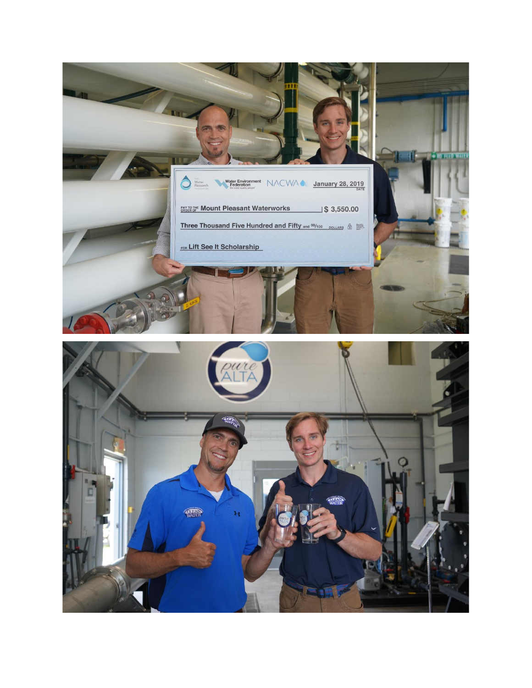